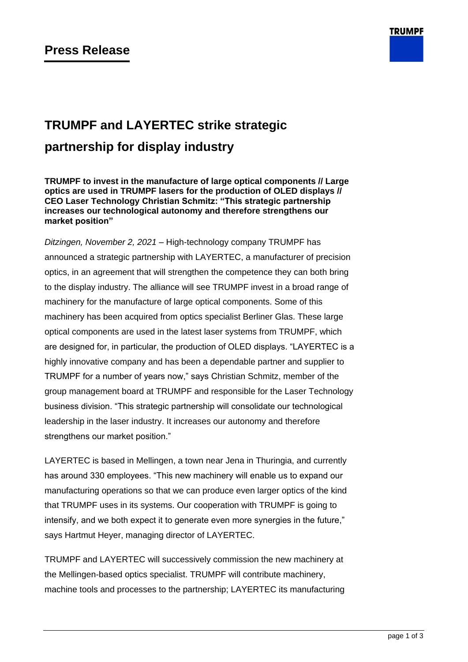

# **TRUMPF and LAYERTEC strike strategic partnership for display industry**

**TRUMPF to invest in the manufacture of large optical components // Large optics are used in TRUMPF lasers for the production of OLED displays // CEO Laser Technology Christian Schmitz: "This strategic partnership increases our technological autonomy and therefore strengthens our market position"**

*Ditzingen, November 2, 2021* – High-technology company TRUMPF has announced a strategic partnership with LAYERTEC, a manufacturer of precision optics, in an agreement that will strengthen the competence they can both bring to the display industry. The alliance will see TRUMPF invest in a broad range of machinery for the manufacture of large optical components. Some of this machinery has been acquired from optics specialist Berliner Glas. These large optical components are used in the latest laser systems from TRUMPF, which are designed for, in particular, the production of OLED displays. "LAYERTEC is a highly innovative company and has been a dependable partner and supplier to TRUMPF for a number of years now," says Christian Schmitz, member of the group management board at TRUMPF and responsible for the Laser Technology business division. "This strategic partnership will consolidate our technological leadership in the laser industry. It increases our autonomy and therefore strengthens our market position."

LAYERTEC is based in Mellingen, a town near Jena in Thuringia, and currently has around 330 employees. "This new machinery will enable us to expand our manufacturing operations so that we can produce even larger optics of the kind that TRUMPF uses in its systems. Our cooperation with TRUMPF is going to intensify, and we both expect it to generate even more synergies in the future," says Hartmut Heyer, managing director of LAYERTEC.

TRUMPF and LAYERTEC will successively commission the new machinery at the Mellingen-based optics specialist. TRUMPF will contribute machinery, machine tools and processes to the partnership; LAYERTEC its manufacturing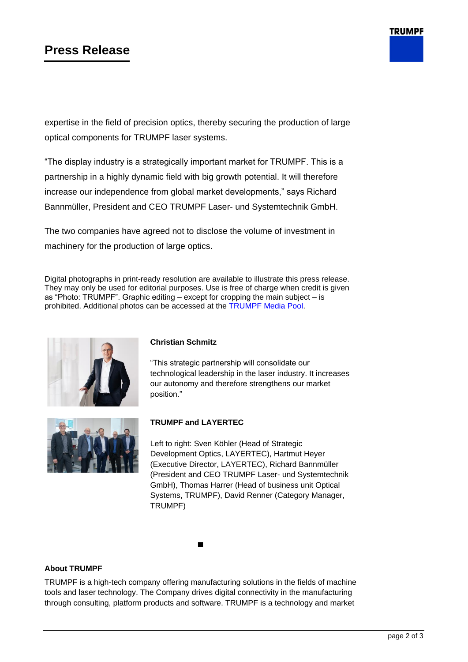# **Press Release**

**TRUMPF** 

expertise in the field of precision optics, thereby securing the production of large optical components for TRUMPF laser systems.

"The display industry is a strategically important market for TRUMPF. This is a partnership in a highly dynamic field with big growth potential. It will therefore increase our independence from global market developments," says Richard Bannmüller, President and CEO TRUMPF Laser- und Systemtechnik GmbH.

The two companies have agreed not to disclose the volume of investment in machinery for the production of large optics.

Digital photographs in print-ready resolution are available to illustrate this press release. They may only be used for editorial purposes. Use is free of charge when credit is given as "Photo: TRUMPF". Graphic editing – except for cropping the main subject – is prohibited. Additional photos can be accessed at the [TRUMPF Media Pool.](https://mediapool.trumpf.com/search/set/?resetsearch&field=metaproperty_Currentness&value=PressMaterial&multiple=false&filterType=add&filterkey=savedFilters&disableModal=false&_=1435333889014)



## **Christian Schmitz**

"This strategic partnership will consolidate our technological leadership in the laser industry. It increases our autonomy and therefore strengthens our market position."



## **TRUMPF and LAYERTEC**

Left to right: Sven Köhler (Head of Strategic Development Optics, LAYERTEC), Hartmut Heyer (Executive Director, LAYERTEC), Richard Bannmüller (President and CEO TRUMPF Laser- und Systemtechnik GmbH), Thomas Harrer (Head of business unit Optical Systems, TRUMPF), David Renner (Category Manager, TRUMPF)

#### ◼

### **About TRUMPF**

TRUMPF is a high-tech company offering manufacturing solutions in the fields of machine tools and laser technology. The Company drives digital connectivity in the manufacturing through consulting, platform products and software. TRUMPF is a technology and market